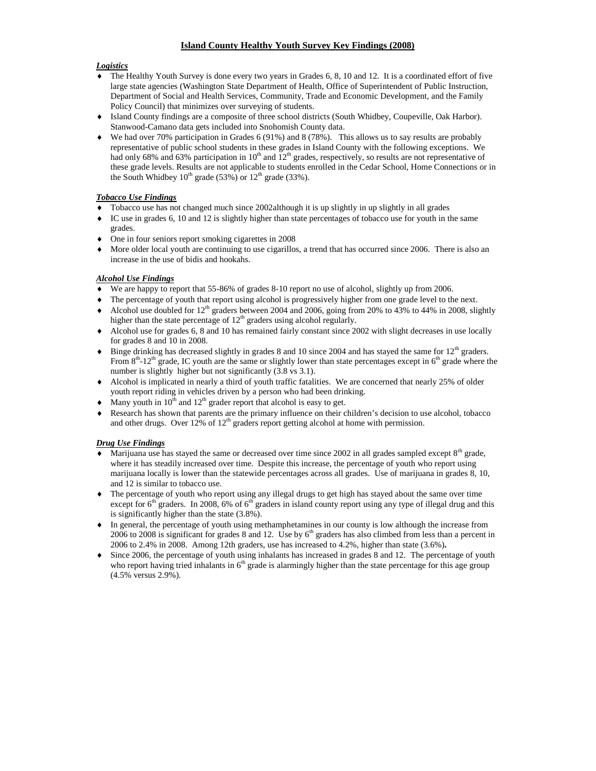# **Island County Healthy Youth Survey Key Findings (2008)**

## *Logistics*

- The Healthy Youth Survey is done every two years in Grades 6, 8, 10 and 12. It is a coordinated effort of five large state agencies (Washington State Department of Health, Office of Superintendent of Public Instruction, Department of Social and Health Services, Community, Trade and Economic Development, and the Family Policy Council) that minimizes over surveying of students.
- Island County findings are a composite of three school districts (South Whidbey, Coupeville, Oak Harbor). Stanwood-Camano data gets included into Snohomish County data.
- We had over 70% participation in Grades 6 (91%) and 8 (78%). This allows us to say results are probably representative of public school students in these grades in Island County with the following exceptions. We had only 68% and 63% participation in  $10<sup>th</sup>$  and  $12<sup>th</sup>$  grades, respectively, so results are not representative of these grade levels. Results are not applicable to students enrolled in the Cedar School, Home Connections or in the South Whidbey  $10^{th}$  grade (53%) or  $12^{th}$  grade (33%).

## *Tobacco Use Findings*

- Tobacco use has not changed much since 2002although it is up slightly in up slightly in all grades
- IC use in grades 6, 10 and 12 is slightly higher than state percentages of tobacco use for youth in the same grades.
- One in four seniors report smoking cigarettes in 2008
- More older local youth are continuing to use cigarillos, a trend that has occurred since 2006. There is also an increase in the use of bidis and hookahs.

# *Alcohol Use Findings*

- We are happy to report that 55-86% of grades 8-10 report no use of alcohol, slightly up from 2006.
- The percentage of youth that report using alcohol is progressively higher from one grade level to the next.
- Alcohol use doubled for  $12<sup>th</sup>$  graders between 2004 and 2006, going from 20% to 43% to 44% in 2008, slightly higher than the state percentage of  $12<sup>th</sup>$  graders using alcohol regularly.
- Alcohol use for grades 6, 8 and 10 has remained fairly constant since 2002 with slight decreases in use locally for grades 8 and 10 in 2008.
- $\bullet$  Binge drinking has decreased slightly in grades 8 and 10 since 2004 and has stayed the same for 12<sup>th</sup> graders. From  $8<sup>th</sup>$ -12<sup>th</sup> grade, IC youth are the same or slightly lower than state percentages except in 6<sup>th</sup> grade where the number is slightly higher but not significantly  $(3.8 \text{ vs } 3.1)$ .
- Alcohol is implicated in nearly a third of youth traffic fatalities. We are concerned that nearly 25% of older youth report riding in vehicles driven by a person who had been drinking.
- Many youth in  $10^{th}$  and  $12^{th}$  grader report that alcohol is easy to get.
- Research has shown that parents are the primary influence on their children's decision to use alcohol, tobacco and other drugs. Over 12% of  $12<sup>th</sup>$  graders report getting alcohol at home with permission.

# *Drug Use Findings*

- Marijuana use has stayed the same or decreased over time since 2002 in all grades sampled except  $8<sup>th</sup>$  grade, where it has steadily increased over time. Despite this increase, the percentage of youth who report using marijuana locally is lower than the statewide percentages across all grades. Use of marijuana in grades 8, 10, and 12 is similar to tobacco use.
- The percentage of youth who report using any illegal drugs to get high has stayed about the same over time except for  $6<sup>th</sup>$  graders. In 2008, 6% of  $6<sup>th</sup>$  graders in island county report using any type of illegal drug and this is significantly higher than the state (3.8%).
- In general, the percentage of youth using methamphetamines in our county is low although the increase from 2006 to 2008 is significant for grades 8 and 12. Use by  $6<sup>th</sup>$  graders has also climbed from less than a percent in 2006 to 2.4% in 2008. Among 12th graders, use has increased to 4.2%, higher than state (3.6%)**.**
- Since 2006, the percentage of youth using inhalants has increased in grades 8 and 12. The percentage of youth who report having tried inhalants in  $6<sup>th</sup>$  grade is alarmingly higher than the state percentage for this age group (4.5% versus 2.9%).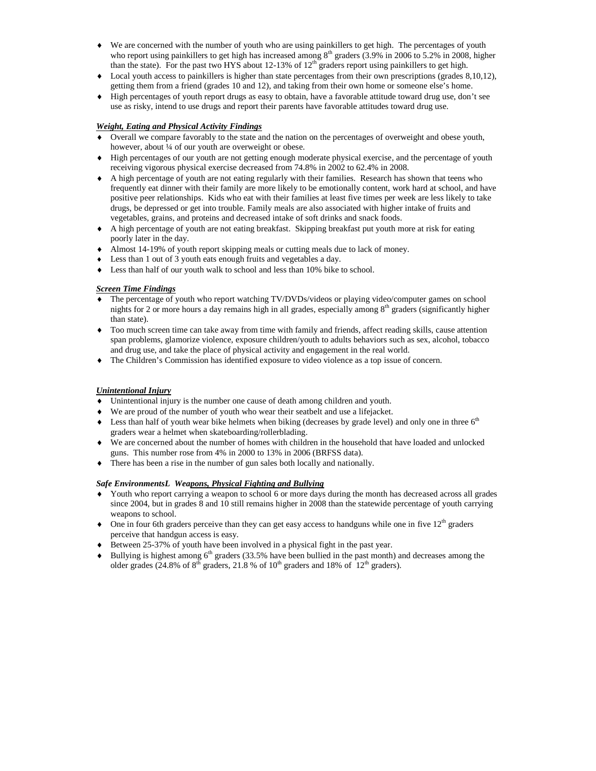- We are concerned with the number of youth who are using painkillers to get high. The percentages of youth who report using painkillers to get high has increased among  $8<sup>th</sup>$  graders (3.9% in 2006 to 5.2% in 2008, higher than the state). For the past two HYS about 12-13% of  $12<sup>th</sup>$  graders report using painkillers to get high.
- Local youth access to painkillers is higher than state percentages from their own prescriptions (grades 8,10,12), getting them from a friend (grades 10 and 12), and taking from their own home or someone else's home.
- High percentages of youth report drugs as easy to obtain, have a favorable attitude toward drug use, don't see use as risky, intend to use drugs and report their parents have favorable attitudes toward drug use.

## *Weight, Eating and Physical Activity Findings*

- Overall we compare favorably to the state and the nation on the percentages of overweight and obese youth, however, about ¼ of our youth are overweight or obese.
- High percentages of our youth are not getting enough moderate physical exercise, and the percentage of youth receiving vigorous physical exercise decreased from 74.8% in 2002 to 62.4% in 2008.
- A high percentage of youth are not eating regularly with their families. Research has shown that teens who frequently eat dinner with their family are more likely to be emotionally content, work hard at school, and have positive peer relationships. Kids who eat with their families at least five times per week are less likely to take drugs, be depressed or get into trouble. Family meals are also associated with higher intake of fruits and vegetables, grains, and proteins and decreased intake of soft drinks and snack foods.
- A high percentage of youth are not eating breakfast. Skipping breakfast put youth more at risk for eating poorly later in the day.
- Almost 14-19% of youth report skipping meals or cutting meals due to lack of money.
- Less than 1 out of 3 youth eats enough fruits and vegetables a day.
- Less than half of our youth walk to school and less than 10% bike to school.

#### *Screen Time Findings*

- The percentage of youth who report watching TV/DVDs/videos or playing video/computer games on school nights for 2 or more hours a day remains high in all grades, especially among 8<sup>th</sup> graders (significantly higher than state).
- Too much screen time can take away from time with family and friends, affect reading skills, cause attention span problems, glamorize violence, exposure children/youth to adults behaviors such as sex, alcohol, tobacco and drug use, and take the place of physical activity and engagement in the real world.
- The Children's Commission has identified exposure to video violence as a top issue of concern.

## *Unintentional Injury*

- Unintentional injury is the number one cause of death among children and youth.
- We are proud of the number of youth who wear their seatbelt and use a lifejacket.
- $\bullet$  Less than half of youth wear bike helmets when biking (decreases by grade level) and only one in three  $6<sup>th</sup>$ graders wear a helmet when skateboarding/rollerblading.
- We are concerned about the number of homes with children in the household that have loaded and unlocked guns. This number rose from 4% in 2000 to 13% in 2006 (BRFSS data).
- There has been a rise in the number of gun sales both locally and nationally.

#### *Safe EnvironmentsL Weapons, Physical Fighting and Bullying*

- Youth who report carrying a weapon to school 6 or more days during the month has decreased across all grades since 2004, but in grades 8 and 10 still remains higher in 2008 than the statewide percentage of youth carrying weapons to school.
- $\bullet$  One in four 6th graders perceive than they can get easy access to handguns while one in five 12<sup>th</sup> graders perceive that handgun access is easy.
- Between 25-37% of youth have been involved in a physical fight in the past year.
- $\bullet$  Bullying is highest among 6<sup>th</sup> graders (33.5% have been bullied in the past month) and decreases among the older grades (24.8% of  $8<sup>th</sup>$  graders, 21.8 % of  $10<sup>th</sup>$  graders and 18% of  $12<sup>th</sup>$  graders).